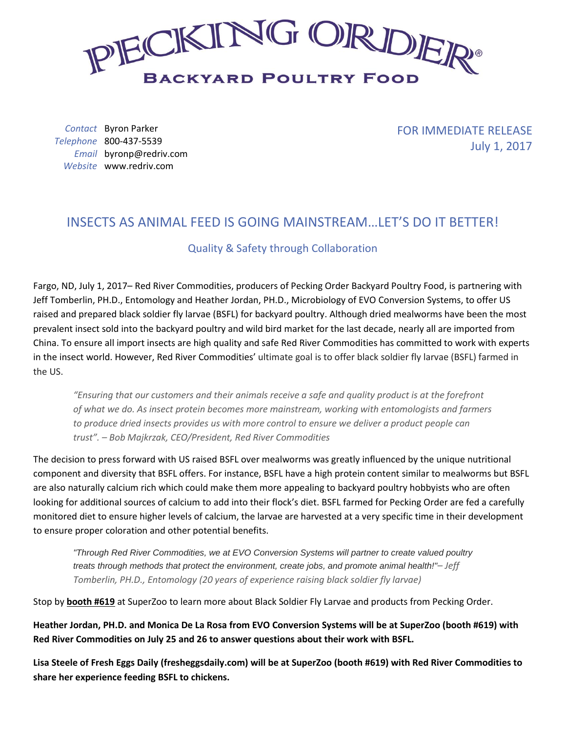

*Contact* Byron Parker *Telephone* 800-437-5539 *Email* byronp@redriv.com *Website* www.redriv.com

FOR IMMEDIATE RELEASE July 1, 2017

## INSECTS AS ANIMAL FEED IS GOING MAINSTREAM…LET'S DO IT BETTER!

## Quality & Safety through Collaboration

Fargo, ND, July 1, 2017– Red River Commodities, producers of Pecking Order Backyard Poultry Food, is partnering with Jeff Tomberlin, PH.D., Entomology and Heather Jordan, PH.D., Microbiology of EVO Conversion Systems, to offer US raised and prepared black soldier fly larvae (BSFL) for backyard poultry. Although dried mealworms have been the most prevalent insect sold into the backyard poultry and wild bird market for the last decade, nearly all are imported from China. To ensure all import insects are high quality and safe Red River Commodities has committed to work with experts in the insect world. However, Red River Commodities' ultimate goal is to offer black soldier fly larvae (BSFL) farmed in the US.

*"Ensuring that our customers and their animals receive a safe and quality product is at the forefront of what we do. As insect protein becomes more mainstream, working with entomologists and farmers to produce dried insects provides us with more control to ensure we deliver a product people can trust". – Bob Majkrzak, CEO/President, Red River Commodities*

The decision to press forward with US raised BSFL over mealworms was greatly influenced by the unique nutritional component and diversity that BSFL offers. For instance, BSFL have a high protein content similar to mealworms but BSFL are also naturally calcium rich which could make them more appealing to backyard poultry hobbyists who are often looking for additional sources of calcium to add into their flock's diet. BSFL farmed for Pecking Order are fed a carefully monitored diet to ensure higher levels of calcium, the larvae are harvested at a very specific time in their development to ensure proper coloration and other potential benefits.

*"Through Red River Commodities, we at EVO Conversion Systems will partner to create valued poultry treats through methods that protect the environment, create jobs, and promote animal health!"– Jeff Tomberlin, PH.D., Entomology (20 years of experience raising black soldier fly larvae)*

Stop by **booth #619** at SuperZoo to learn more about Black Soldier Fly Larvae and products from Pecking Order.

**Heather Jordan, PH.D. and Monica De La Rosa from EVO Conversion Systems will be at SuperZoo (booth #619) with Red River Commodities on July 25 and 26 to answer questions about their work with BSFL.**

**Lisa Steele of Fresh Eggs Daily (fresheggsdaily.com) will be at SuperZoo (booth #619) with Red River Commodities to share her experience feeding BSFL to chickens.**